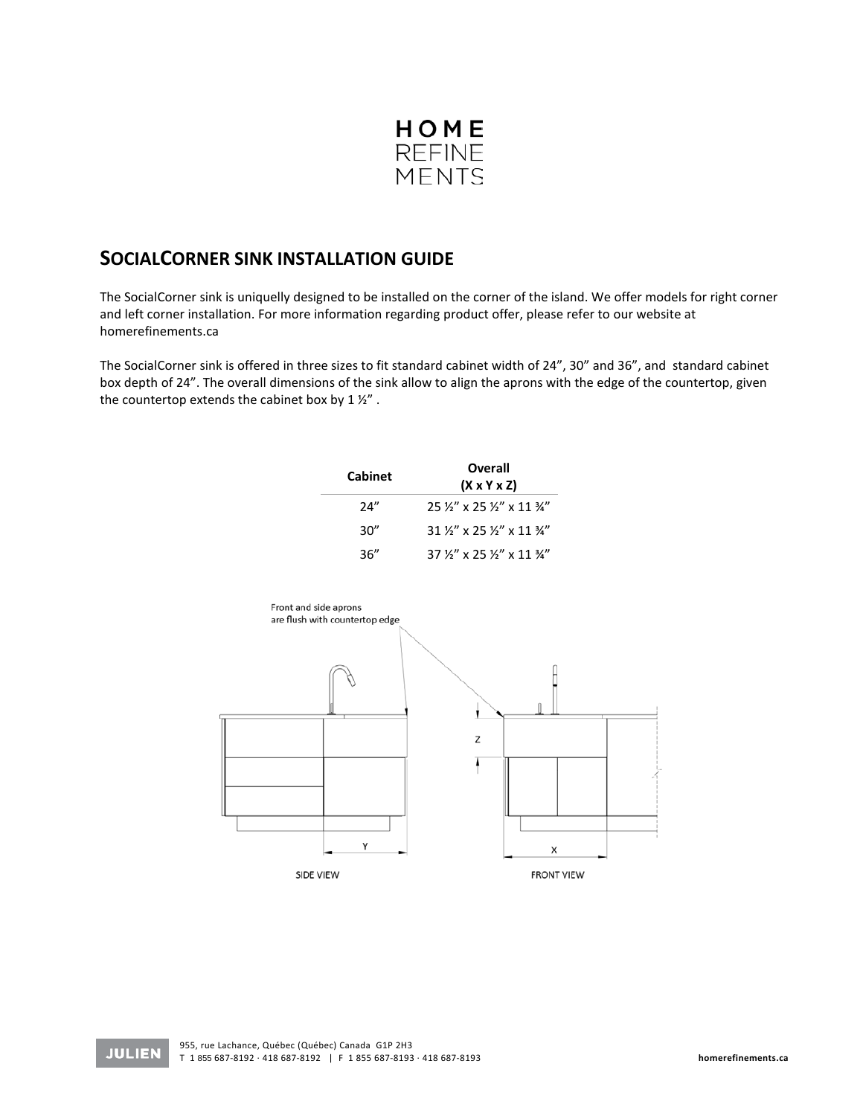

## **SOCIALCORNER SINK INSTALLATION GUIDE**

The SocialCorner sink is uniquelly designed to be installed on the corner of the island. We offer models for right corner and left corner installation. For more information regarding product offer, please refer to our website at homerefinements.ca

The SocialCorner sink is offered in three sizes to fit standard cabinet width of 24", 30" and 36", and standard cabinet box depth of 24". The overall dimensions of the sink allow to align the aprons with the edge of the countertop, given the countertop extends the cabinet box by 1 ½" .

| <b>Cabinet</b> | <b>Overall</b><br>$(X \times Y \times Z)$               |
|----------------|---------------------------------------------------------|
| 24"            | $25\frac{1}{3}$ x 25 $\frac{1}{3}$ x 11 $\frac{3}{4}$   |
| 30"            | $31\frac{1}{2}$ x 25 $\frac{1}{2}$ x 11 $\frac{3}{4}$ " |
| 36"            | $37\frac{1}{9}$ x 25 $\frac{1}{9}$ x 11 $\frac{3}{4}$   |



**JULIEN**